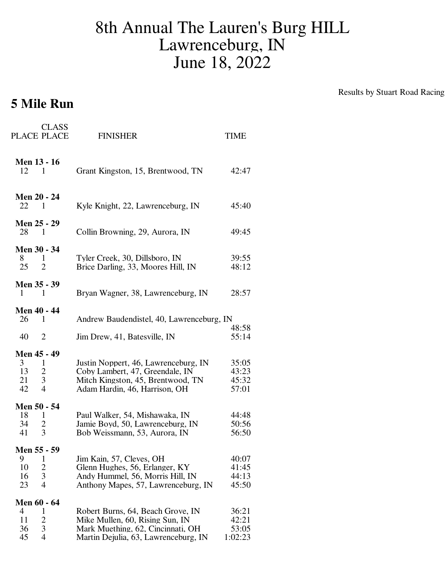## 8th Annual The Lauren's Burg HILL Lawrenceburg, IN June 18, 2022

## **5 Mile Run**

Results by Stuart Road Racing

| <b>CLASS</b><br>PLACE PLACE                                                                              | <b>FINISHER</b>                                                                                                                                   | TIME                               |
|----------------------------------------------------------------------------------------------------------|---------------------------------------------------------------------------------------------------------------------------------------------------|------------------------------------|
| <b>Men 13 - 16</b><br>12<br>1                                                                            | Grant Kingston, 15, Brentwood, TN                                                                                                                 | 42:47                              |
| <b>Men 20 - 24</b><br>22<br>1                                                                            | Kyle Knight, 22, Lawrenceburg, IN                                                                                                                 | 45:40                              |
| Men 25 - 29<br>28<br>$\blacksquare$                                                                      | Collin Browning, 29, Aurora, IN                                                                                                                   | 49:45                              |
| Men 30 - 34<br>8<br>1<br>25<br>$\overline{2}$                                                            | Tyler Creek, 30, Dillsboro, IN<br>Brice Darling, 33, Moores Hill, IN                                                                              | 39:55<br>48:12                     |
| Men 35 - 39<br>1<br>1                                                                                    | Bryan Wagner, 38, Lawrenceburg, IN                                                                                                                | 28:57                              |
| Men 40 - 44<br>26<br>1                                                                                   | Andrew Baudendistel, 40, Lawrenceburg, IN                                                                                                         | 48:58                              |
| 40<br>2                                                                                                  | Jim Drew, 41, Batesville, IN                                                                                                                      | 55:14                              |
| Men 45 - 49<br>3 <sup>1</sup><br>$\mathbf{1}$<br>13<br>$\overline{c}$<br>3<br>21<br>$\overline{4}$<br>42 | Justin Noppert, 46, Lawrenceburg, IN<br>Coby Lambert, 47, Greendale, IN<br>Mitch Kingston, 45, Brentwood, TN<br>Adam Hardin, 46, Harrison, OH     | 35:05<br>43:23<br>45:32<br>57:01   |
| Men 50 - 54<br>18<br>$\mathbf{1}$<br>34<br>2<br>3<br>41                                                  | Paul Walker, 54, Mishawaka, IN<br>Jamie Boyd, 50, Lawrenceburg, IN<br>Bob Weissmann, 53, Aurora, IN                                               | 44:48<br>50:56<br>56:50            |
| Men 55 - 59<br>9<br>1<br>10<br>$\frac{2}{3}$<br>16<br>$\overline{4}$<br>23                               | Jim Kain, 57, Cleves, OH<br>Glenn Hughes, 56, Erlanger, KY<br>Andy Hummel, 56, Morris Hill, IN<br>Anthony Mapes, 57, Lawrenceburg, IN             | 40:07<br>41:45<br>44:13<br>45:50   |
| Men 60 - 64<br>4<br>1<br>$\overline{\mathbf{c}}$<br>11<br>3<br>36<br>45<br>4                             | Robert Burns, 64, Beach Grove, IN<br>Mike Mullen, 60, Rising Sun, IN<br>Mark Muething, 62, Cincinnati, OH<br>Martin Dejulia, 63, Lawrenceburg, IN | 36:21<br>42:21<br>53:05<br>1:02:23 |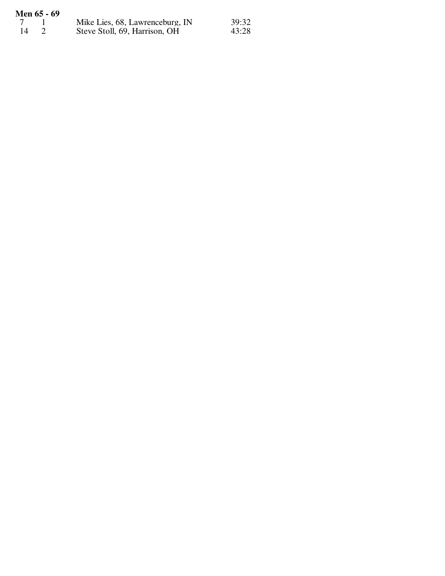|     | Men 65 - 69 |                                 |       |
|-----|-------------|---------------------------------|-------|
|     |             | Mike Lies, 68, Lawrenceburg, IN | 39:32 |
| -14 |             | Steve Stoll, 69, Harrison, OH   | 43:28 |